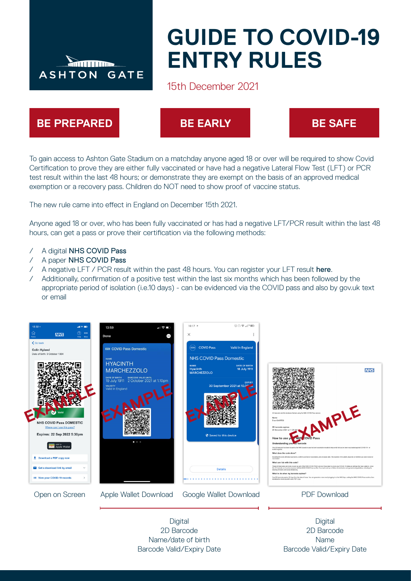

# **GUIDE TO COVID-19 ENTRY RULES**

# 15th December 2021



To gain access to Ashton Gate Stadium on a matchday anyone aged 18 or over will be required to show Covid Certification to prove they are either fully vaccinated or have had a negative Lateral Flow Test (LFT) or PCR test result within the last 48 hours; or demonstrate they are exempt on the basis of an approved medical exemption or a recovery pass. Children do NOT need to show proof of vaccine status.

The new rule came into effect in England on December 15th 2021.

Anyone aged 18 or over, who has been fully vaccinated or has had a negative LFT/PCR result within the last 48 hours, can get a pass or prove their certification via the following methods:

- / A digital [NHS COVID Pass](https://www.nhs.uk/conditions/coronavirus-covid-19/get-digital-covid-pass/)
- / A paper [NHS COVID Pass](https://www.nhs.uk/conditions/coronavirus-covid-19/covid-pass/get-your-covid-pass-letter/)
- / A negative LFT / PCR result within the past 48 hours. You can register your LFT result [here](https://www.nhs.uk/conditions/coronavirus-covid-19/testing/test-results/report-a-rapid-lateral-flow-test-result/).
- / Additionally, confirmation of a positive test within the last six months which has been followed by the appropriate period of isolation (i.e.10 days) - can be evidenced via the COVID pass and also by gov.uk text or email



2D Barcode Name/date of birth Barcode Valid/Expiry Date

2D Barcode Name Barcode Valid/Expiry Date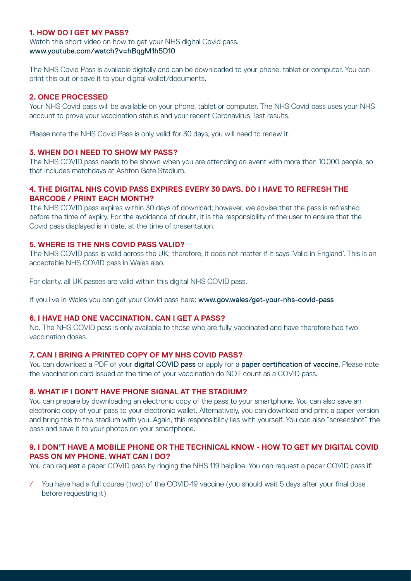# **1. HOW DO I GET MY PASS?**

Watch this short video on how to get your NHS digital Covid pass. [www.youtube.com/watch?v=hBqgM1h5D10](http://www.youtube.com/watch?v=hBqgM1h5D10)

The NHS Covid Pass is available digitally and can be downloaded to your phone, tablet or computer. You can print this out or save it to your digital wallet/documents.

#### **2. ONCE PROCESSED**

Your NHS Covid pass will be available on your phone, tablet or computer. The NHS Covid pass uses your NHS account to prove your vaccination status and your recent Coronavirus Test results.

Please note the NHS Covid Pass is only valid for 30 days, you will need to renew it.

#### **3. WHEN DO I NEED TO SHOW MY PASS?**

The NHS COVID pass needs to be shown when you are attending an event with more than 10,000 people, so that includes matchdays at Ashton Gate Stadium.

# **4. THE DIGITAL NHS COVID PASS EXPIRES EVERY 30 DAYS. DO I HAVE TO REFRESH THE BARCODE / PRINT EACH MONTH?**

The NHS COVID pass expires within 30 days of download; however, we advise that the pass is refreshed before the time of expiry. For the avoidance of doubt, it is the responsibility of the user to ensure that the Covid pass displayed is in date, at the time of presentation.

#### **5. WHERE IS THE NHS COVID PASS VALID?**

The NHS COVID pass is valid across the UK; therefore, it does not matter if it says 'Valid in England'. This is an acceptable NHS COVID pass in Wales also.

For clarity, all UK passes are valid within this digital NHS COVID pass.

If you live in Wales you can get your Covid pass here: [www.gov.wales/get-your-nhs-covid-pass](http://www.gov.wales/get-your-nhs-covid-pass)

#### **6. I HAVE HAD ONE VACCINATION. CAN I GET A PASS?**

No. The NHS COVID pass is only available to those who are fully vaccinated and have therefore had two vaccination doses.

#### **7. CAN I BRING A PRINTED COPY OF MY NHS COVID PASS?**

You can download a PDF of your **[digital COVID pass](https://www.nhs.uk/conditions/coronavirus-covid-19/covid-pass/)** or apply for a **[paper certification of vaccine](https://www.nhs.uk/conditions/coronavirus-covid-19/covid-pass/get-your-covid-pass-letter/)**. Please note the vaccination card issued at the time of your vaccination do NOT count as a COVID pass.

# **8. WHAT IF I DON'T HAVE PHONE SIGNAL AT THE STADIUM?**

You can prepare by downloading an electronic copy of the pass to your smartphone. You can also save an electronic copy of your pass to your electronic wallet. Alternatively, you can download and print a paper version and bring this to the stadium with you. Again, this responsibility lies with yourself. You can also "screenshot" the pass and save it to your photos on your smartphone.

#### **9. I DON'T HAVE A MOBILE PHONE OR THE TECHNICAL KNOW - HOW TO GET MY DIGITAL COVID PASS ON MY PHONE. WHAT CAN I DO?**

You can request a paper COVID pass by ringing the NHS 119 helpline. You can request a paper COVID pass if:

/ You have had a full course (two) of the COVID-19 vaccine (you should wait 5 days after your final dose before requesting it)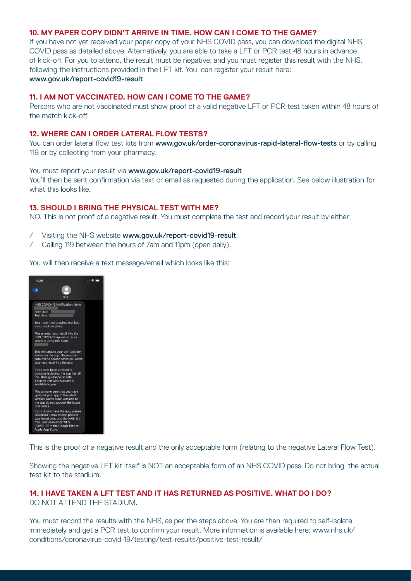#### **10. MY PAPER COPY DIDN'T ARRIVE IN TIME. HOW CAN I COME TO THE GAME?**

If you have not yet received your paper copy of your NHS COVID pass, you can download the digital NHS COVID pass as detailed above. Alternatively, you are able to take a LFT or PCR test 48 hours in advance of kick-off. For you to attend, the result must be negative, and you must register this result with the NHS, following the instructions provided in the LFT kit. You can register your result here: [www.gov.uk/report-covid19-result](http://www.gov.uk/report-covid19-result)

#### **11. I AM NOT VACCINATED. HOW CAN I COME TO THE GAME?**

Persons who are not vaccinated must show proof of a valid negative LFT or PCR test taken within 48 hours of the match kick-off.

#### **12. WHERE CAN I ORDER LATERAL FLOW TESTS?**

You can order lateral flow test kits from [www.gov.uk/order-coronavirus-rapid-lateral-flow-tests](http://www.gov.uk/order-coronavirus-rapid-lateral-flow-tests) or by calling 119 or by collecting from your pharmacy.

#### You must report your result via [www.gov.uk/report-covid19-result](http://www.gov.uk/report-covid19-result)

You'll then be sent confirmation via text or email as requested during the application. See below illustration for what this looks like.

# **13. SHOULD I BRING THE PHYSICAL TEST WITH ME?**

NO. This is not proof of a negative result. You must complete the test and record your result by either:

- / Visiting the NHS website [www.gov.uk/report-covid19-result](http://www.gov.uk/report-covid19-result)
- / Calling 119 between the hours of 7am and 11pm (open daily).

You will then receive a text message/email which looks like this:



This is the proof of a negative result and the only acceptable form (relating to the negative Lateral Flow Test).

Showing the negative LFT kit itself is NOT an acceptable form of an NHS COVID pass. Do not bring the actual test kit to the stadium.

#### **14. I HAVE TAKEN A LFT TEST AND IT HAS RETURNED AS POSITIVE. WHAT DO I DO?** DO NOT ATTEND THE STADIUM.

You must record the results with the NHS, as per the steps above. You are then required to self-isolate immediately and get a PCR test to confirm your result. More information is available here: www.nhs.uk/ conditions/coronavirus-covid-19/testing/test-results/positive-test-result/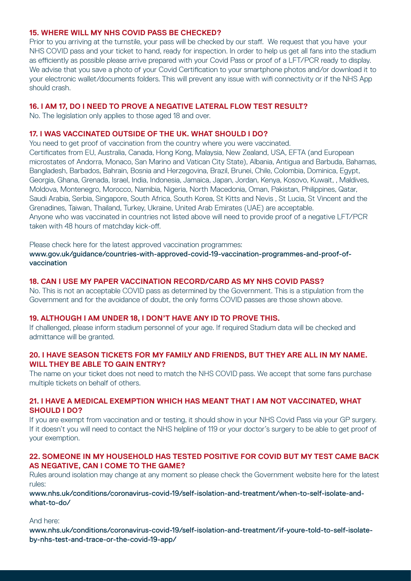# **15. WHERE WILL MY NHS COVID PASS BE CHECKED?**

Prior to you arriving at the turnstile, your pass will be checked by our staff. We request that you have your NHS COVID pass and your ticket to hand, ready for inspection. In order to help us get all fans into the stadium as efficiently as possible please arrive prepared with your Covid Pass or proof of a LFT/PCR ready to display. We advise that you save a photo of your Covid Certification to your smartphone photos and/or download it to your electronic wallet/documents folders. This will prevent any issue with wifi connectivity or if the NHS App should crash.

# **16. I AM 17, DO I NEED TO PROVE A NEGATIVE LATERAL FLOW TEST RESULT?**

No. The legislation only applies to those aged 18 and over.

#### **17. I WAS VACCINATED OUTSIDE OF THE UK. WHAT SHOULD I DO?**

You need to get proof of vaccination from the country where you were vaccinated. Certificates from EU, Australia, Canada, Hong Kong, Malaysia, New Zealand, USA, EFTA (and European microstates of Andorra, Monaco, San Marino and Vatican City State), Albania, Antigua and Barbuda, Bahamas, Bangladesh, Barbados, Bahrain, Bosnia and Herzegovina, Brazil, Brunei, Chile, Colombia, Dominica, Egypt, Georgia, Ghana, Grenada, Israel, India, Indonesia, Jamaica, Japan, Jordan, Kenya, Kosovo, Kuwait, , Maldives, Moldova, Montenegro, Morocco, Namibia, Nigeria, North Macedonia, Oman, Pakistan, Philippines, Qatar, Saudi Arabia, Serbia, Singapore, South Africa, South Korea, St Kitts and Nevis , St Lucia, St Vincent and the Grenadines, Taiwan, Thailand, Turkey, Ukraine, United Arab Emirates (UAE) are acceptable. Anyone who was vaccinated in countries not listed above will need to provide proof of a negative LFT/PCR taken with 48 hours of matchday kick-off.

Please check here for the latest approved vaccination programmes: [www.gov.uk/guidance/countries-with-approved-covid-19-vaccination-programmes-and-proof-of](http://www.gov.uk/guidance/countries-with-approved-covid-19-vaccination-programmes-and-proof-of-vaccination)[vaccination](http://www.gov.uk/guidance/countries-with-approved-covid-19-vaccination-programmes-and-proof-of-vaccination)

#### **18. CAN I USE MY PAPER VACCINATION RECORD/CARD AS MY NHS COVID PASS?**

No. This is not an acceptable COVID pass as determined by the Government. This is a stipulation from the Government and for the avoidance of doubt, the only forms COVID passes are those shown above.

# **19. ALTHOUGH I AM UNDER 18, I DON'T HAVE ANY ID TO PROVE THIS.**

If challenged, please inform stadium personnel of your age. If required Stadium data will be checked and admittance will be granted.

# **20. I HAVE SEASON TICKETS FOR MY FAMILY AND FRIENDS, BUT THEY ARE ALL IN MY NAME. WILL THEY BE ABLE TO GAIN ENTRY?**

The name on your ticket does not need to match the NHS COVID pass. We accept that some fans purchase multiple tickets on behalf of others.

# **21. I HAVE A MEDICAL EXEMPTION WHICH HAS MEANT THAT I AM NOT VACCINATED, WHAT SHOULD I DO?**

If you are exempt from vaccination and or testing, it should show in your NHS Covid Pass via your GP surgery. If it doesn't you will need to contact the NHS helpline of 119 or your doctor's surgery to be able to get proof of your exemption.

# **22. SOMEONE IN MY HOUSEHOLD HAS TESTED POSITIVE FOR COVID BUT MY TEST CAME BACK AS NEGATIVE, CAN I COME TO THE GAME?**

Rules around isolation may change at any moment so please check the Government website here for the latest rules:

# [www.nhs.uk/conditions/coronavirus-covid-19/self-isolation-and-treatment/when-to-self-isolate-and](http://www.nhs.uk/conditions/coronavirus-covid-19/self-isolation-and-treatment/when-to-self-isolate-and- what-to-do/)[what-to-do/](http://www.nhs.uk/conditions/coronavirus-covid-19/self-isolation-and-treatment/when-to-self-isolate-and- what-to-do/)

And here:

[www.nhs.uk/conditions/coronavirus-covid-19/self-isolation-and-treatment/if-youre-told-to-self-isolate](http://www.nhs.uk/conditions/coronavirus-covid-19/self-isolation-and-treatment/if-youre-told-to-self-isolate- by-nhs-test-and-trace-or-the-covid-19-app/)[by-nhs-test-and-trace-or-the-covid-19-app/](http://www.nhs.uk/conditions/coronavirus-covid-19/self-isolation-and-treatment/if-youre-told-to-self-isolate- by-nhs-test-and-trace-or-the-covid-19-app/)